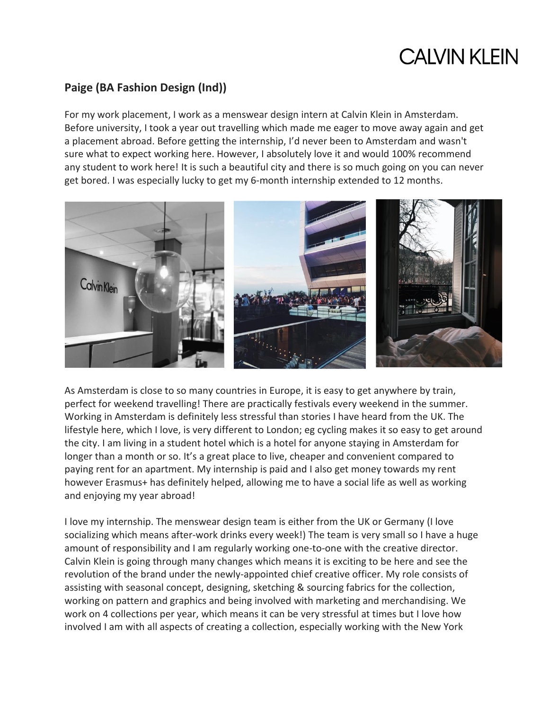## **CALVIN KLEIN**

## **Paige (BA Fashion Design (Ind))**

For my work placement, I work as a menswear design intern at Calvin Klein in Amsterdam. Before university, I took a year out travelling which made me eager to move away again and get a placement abroad. Before getting the internship, I'd never been to Amsterdam and wasn't sure what to expect working here. However, I absolutely love it and would 100% recommend any student to work here! It is such a beautiful city and there is so much going on you can never get bored. I was especially lucky to get my 6-month internship extended to 12 months.



As Amsterdam is close to so many countries in Europe, it is easy to get anywhere by train, perfect for weekend travelling! There are practically festivals every weekend in the summer. Working in Amsterdam is definitely less stressful than stories I have heard from the UK. The lifestyle here, which I love, is very different to London; eg cycling makes it so easy to get around the city. I am living in a student hotel which is a hotel for anyone staying in Amsterdam for longer than a month or so. It's a great place to live, cheaper and convenient compared to paying rent for an apartment. My internship is paid and I also get money towards my rent however Erasmus+ has definitely helped, allowing me to have a social life as well as working and enjoying my year abroad!

I love my internship. The menswear design team is either from the UK or Germany (I love socializing which means after-work drinks every week!) The team is very small so I have a huge amount of responsibility and I am regularly working one-to-one with the creative director. Calvin Klein is going through many changes which means it is exciting to be here and see the revolution of the brand under the newly-appointed chief creative officer. My role consists of assisting with seasonal concept, designing, sketching & sourcing fabrics for the collection, working on pattern and graphics and being involved with marketing and merchandising. We work on 4 collections per year, which means it can be very stressful at times but I love how involved I am with all aspects of creating a collection, especially working with the New York